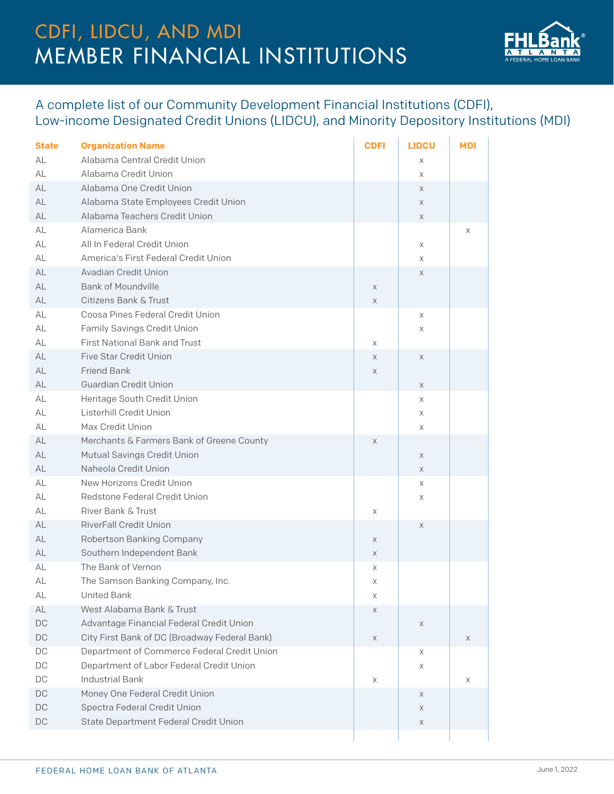## MEMBER FINANCIAL INSTITUTIONS CDFI, LIDCU, AND MDI



## A complete list of our Community Development Financial Institutions (CDFI), Low-income Designated Credit Unions (LIDCU), and Minority Depository Institutions (MDI)

| <b>State</b>  | <b>Organization Name</b>                      | <b>CDFI</b> | <b>LIDCU</b> | MDI |
|---------------|-----------------------------------------------|-------------|--------------|-----|
| AL            | Alabama Central Credit Union                  |             | Χ            |     |
| AL            | Alabama Credit Union                          |             | X            |     |
| AL            | Alabama One Credit Union                      |             | X            |     |
| AL            | Alabama State Employees Credit Union          |             | X            |     |
| AL            | Alabama Teachers Credit Union                 |             | X            |     |
| AL            | Alamerica Bank                                |             |              | X   |
| AL            | All In Federal Credit Union                   |             | Χ            |     |
| AL            | America's First Federal Credit Union          |             | X            |     |
| AL            | Avadian Credit Union                          |             | X            |     |
| AL            | <b>Bank of Moundville</b>                     | X           |              |     |
| AL            | <b>Citizens Bank &amp; Trust</b>              | X           |              |     |
| AL            | Coosa Pines Federal Credit Union              |             | Χ            |     |
| AL            | Family Savings Credit Union                   |             | Χ            |     |
| AL            | <b>First National Bank and Trust</b>          | Χ           |              |     |
| AL            | <b>Five Star Credit Union</b>                 | X           | X            |     |
| AL            | <b>Friend Bank</b>                            | X           |              |     |
| AL            | <b>Guardian Credit Union</b>                  |             | $\times$     |     |
| AL            | Heritage South Credit Union                   |             | Χ            |     |
| AL            | Listerhill Credit Union                       |             | Χ            |     |
| AL            | Max Credit Union                              |             | Χ            |     |
| AL            | Merchants & Farmers Bank of Greene County     | X           |              |     |
| AL            | Mutual Savings Credit Union                   |             | X            |     |
| AL            | Naheola Credit Union                          |             | X            |     |
| AL            | New Horizons Credit Union                     |             | Χ            |     |
| AL            | Redstone Federal Credit Union                 |             | Χ            |     |
| AL            | <b>River Bank &amp; Trust</b>                 | Χ           |              |     |
| AL            | <b>RiverFall Credit Union</b>                 |             | X            |     |
| AL            | Robertson Banking Company                     | X           |              |     |
| AL            | Southern Independent Bank                     | X           |              |     |
| AL            | The Bank of Vernon                            | Χ           |              |     |
| AL            | The Samson Banking Company, Inc.              | Χ           |              |     |
| AL            | <b>United Bank</b>                            | X           |              |     |
| AL            | West Alabama Bank & Trust                     | Χ           |              |     |
| DC            | Advantage Financial Federal Credit Union      |             | X            |     |
| $\mathsf{DC}$ | City First Bank of DC (Broadway Federal Bank) | X           |              | X   |
| DC            | Department of Commerce Federal Credit Union   |             | Χ            |     |
| DC            | Department of Labor Federal Credit Union      |             | Χ            |     |
| $\mathsf{DC}$ | <b>Industrial Bank</b>                        | X           |              | X   |
| DC            | Money One Federal Credit Union                |             | Χ            |     |
| DC            | Spectra Federal Credit Union                  |             | X            |     |
| $\mathsf{DC}$ | State Department Federal Credit Union         |             | Χ            |     |
|               |                                               |             |              |     |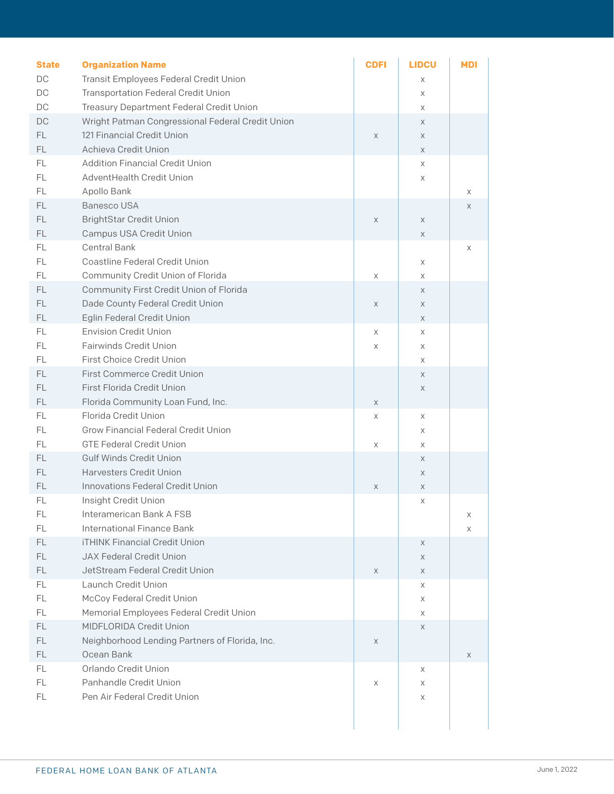| <b>State</b> | <b>Organization Name</b>                         | <b>CDFI</b> | <b>LIDCU</b> | <b>MDI</b> |  |
|--------------|--------------------------------------------------|-------------|--------------|------------|--|
| DC           | Transit Employees Federal Credit Union           |             | X            |            |  |
| DC           | <b>Transportation Federal Credit Union</b>       |             | X            |            |  |
| $DC$         | Treasury Department Federal Credit Union         |             | X            |            |  |
| DC           | Wright Patman Congressional Federal Credit Union |             | $\times$     |            |  |
| FL.          | 121 Financial Credit Union                       | X           | $\times$     |            |  |
| FL.          | Achieva Credit Union                             |             | $\times$     |            |  |
| FL.          | <b>Addition Financial Credit Union</b>           |             | X            |            |  |
| FL.          | AdventHealth Credit Union                        |             | X            |            |  |
| FL.          | Apollo Bank                                      |             |              | Χ          |  |
| FL.          | Banesco USA                                      |             |              | X          |  |
| FL.          | <b>BrightStar Credit Union</b>                   | X           | $\times$     |            |  |
| FL.          | Campus USA Credit Union                          |             | X            |            |  |
| FL.          | <b>Central Bank</b>                              |             |              | Χ          |  |
| FL.          | Coastline Federal Credit Union                   |             | X            |            |  |
| FL.          | Community Credit Union of Florida                | Χ           | X            |            |  |
| FL.          | Community First Credit Union of Florida          |             | $\times$     |            |  |
| FL.          | Dade County Federal Credit Union                 | X           | $\mathsf X$  |            |  |
| FL.          | Eglin Federal Credit Union                       |             | $\times$     |            |  |
| FL.          | <b>Envision Credit Union</b>                     | X           | X            |            |  |
| FL.          | <b>Fairwinds Credit Union</b>                    | Χ           | X            |            |  |
| FL.          | First Choice Credit Union                        |             | X            |            |  |
| FL.          | <b>First Commerce Credit Union</b>               |             | $\times$     |            |  |
| FL.          | First Florida Credit Union                       |             | $\mathsf X$  |            |  |
| FL.          | Florida Community Loan Fund, Inc.                | X           |              |            |  |
| FL.          | Florida Credit Union                             | Χ           | X            |            |  |
| FL.          | <b>Grow Financial Federal Credit Union</b>       |             | X            |            |  |
| FL.          | <b>GTE Federal Credit Union</b>                  | X           | X            |            |  |
| FL.          | Gulf Winds Credit Union                          |             | $\times$     |            |  |
| FL.          | <b>Harvesters Credit Union</b>                   |             | $\times$     |            |  |
| FL.          | <b>Innovations Federal Credit Union</b>          | X           | X            |            |  |
| FL           | Insight Credit Union                             |             | X            |            |  |
| FL           | Interamerican Bank A FSB                         |             |              | Χ          |  |
| FL.          | International Finance Bank                       |             |              | Χ          |  |
| FL.          | <b>iTHINK Financial Credit Union</b>             |             | $\times$     |            |  |
| FL.          | <b>JAX Federal Credit Union</b>                  |             | $\times$     |            |  |
| FL.          | JetStream Federal Credit Union                   | X           | X            |            |  |
| FL.          | Launch Credit Union                              |             | X            |            |  |
| FL.          | McCoy Federal Credit Union                       |             | X            |            |  |
| FL.          | Memorial Employees Federal Credit Union          |             | X            |            |  |
| FL.          | MIDFLORIDA Credit Union                          |             |              |            |  |
| FL.          | Neighborhood Lending Partners of Florida, Inc.   |             | X            |            |  |
| FL.          | Ocean Bank                                       | X           |              |            |  |
| FL.          | Orlando Credit Union                             |             |              | X          |  |
|              |                                                  |             | Χ            |            |  |
| FL.          | Panhandle Credit Union                           | Χ           | X            |            |  |
| FL.          | Pen Air Federal Credit Union                     |             | Χ            |            |  |
|              |                                                  |             |              |            |  |
|              |                                                  |             |              |            |  |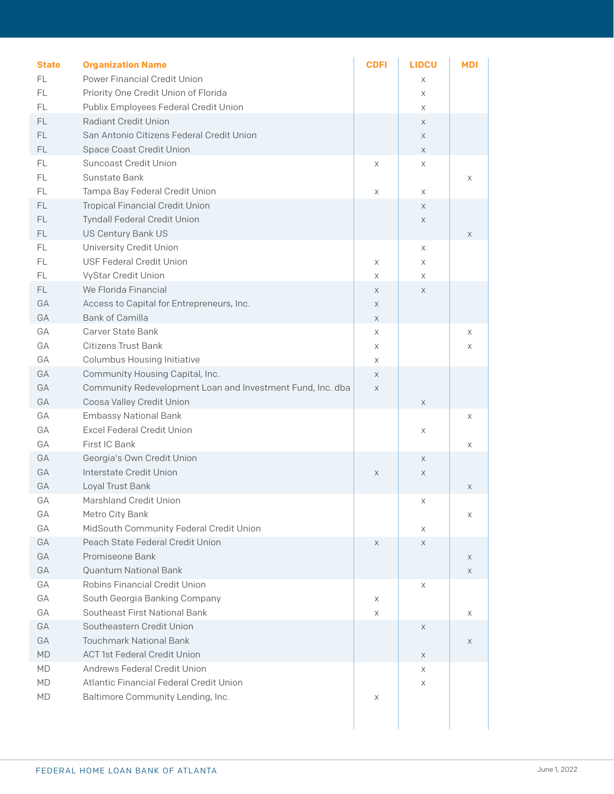| <b>State</b>  | <b>Organization Name</b>                                   | <b>CDFI</b> | <b>LIDCU</b> | <b>MDI</b> |  |
|---------------|------------------------------------------------------------|-------------|--------------|------------|--|
| <b>FL</b>     | Power Financial Credit Union                               |             | Χ            |            |  |
| FL            | Priority One Credit Union of Florida                       |             | X            |            |  |
| FL            | Publix Employees Federal Credit Union                      |             | X            |            |  |
| <b>FL</b>     | <b>Radiant Credit Union</b>                                |             | X            |            |  |
| FL            | San Antonio Citizens Federal Credit Union                  |             | X            |            |  |
| FL            | <b>Space Coast Credit Union</b>                            |             | X            |            |  |
| $\mathsf{FL}$ | <b>Suncoast Credit Union</b>                               | X           | X            |            |  |
| FL            | Sunstate Bank                                              |             |              | Χ          |  |
| FL            | Tampa Bay Federal Credit Union                             | X           | X            |            |  |
| $\mathsf{FL}$ | <b>Tropical Financial Credit Union</b>                     |             | X            |            |  |
| FL            | <b>Tyndall Federal Credit Union</b>                        |             | X            |            |  |
| FL.           | US Century Bank US                                         |             |              | X          |  |
| $\mathsf{FL}$ | <b>University Credit Union</b>                             |             | X            |            |  |
| FL            | <b>USF Federal Credit Union</b>                            | Χ           | X            |            |  |
| FL.           | VyStar Credit Union                                        | X           | Χ            |            |  |
| FL.           | We Florida Financial                                       | X           | X            |            |  |
| GA            | Access to Capital for Entrepreneurs, Inc.                  | X           |              |            |  |
| GA            | <b>Bank of Camilla</b>                                     | X           |              |            |  |
| GA            | <b>Carver State Bank</b>                                   | X           |              | X          |  |
| GA            | <b>Citizens Trust Bank</b>                                 | Χ           |              | Χ          |  |
| GA            | <b>Columbus Housing Initiative</b>                         | X           |              |            |  |
| GA            | Community Housing Capital, Inc.                            | $\times$    |              |            |  |
| GA            | Community Redevelopment Loan and Investment Fund, Inc. dba | $\mathsf X$ |              |            |  |
| GA            | Coosa Valley Credit Union                                  |             | X            |            |  |
| GA            | <b>Embassy National Bank</b>                               |             |              | Χ          |  |
| GA            | <b>Excel Federal Credit Union</b>                          |             | X            |            |  |
| GA            | First IC Bank                                              |             |              | Χ          |  |
| GA            | Georgia's Own Credit Union                                 |             | X            |            |  |
| GA            | Interstate Credit Union                                    | X           | X            |            |  |
| GA            | Loyal Trust Bank                                           |             |              | X          |  |
| GA            | <b>Marshland Credit Union</b>                              |             | Χ            |            |  |
| GA            | Metro City Bank                                            |             |              | X          |  |
| GA            | MidSouth Community Federal Credit Union                    |             | Χ            |            |  |
| GA            | Peach State Federal Credit Union                           | X           | X            |            |  |
| GA            | Promiseone Bank                                            |             |              | X          |  |
| GA            | <b>Quantum National Bank</b>                               |             |              | X          |  |
| GA            | <b>Robins Financial Credit Union</b>                       |             | X            |            |  |
| GA            | South Georgia Banking Company                              | Χ           |              |            |  |
| GA            | Southeast First National Bank                              | Χ           |              | Χ          |  |
| GA            | Southeastern Credit Union                                  |             | X            |            |  |
| GA            | <b>Touchmark National Bank</b>                             |             |              | X          |  |
| <b>MD</b>     | <b>ACT 1st Federal Credit Union</b>                        |             | X            |            |  |
| MD            | Andrews Federal Credit Union                               |             | Χ            |            |  |
| MD            | Atlantic Financial Federal Credit Union                    |             | X            |            |  |
| MD            | Baltimore Community Lending, Inc.                          | Χ           |              |            |  |
|               |                                                            |             |              |            |  |
|               |                                                            |             |              |            |  |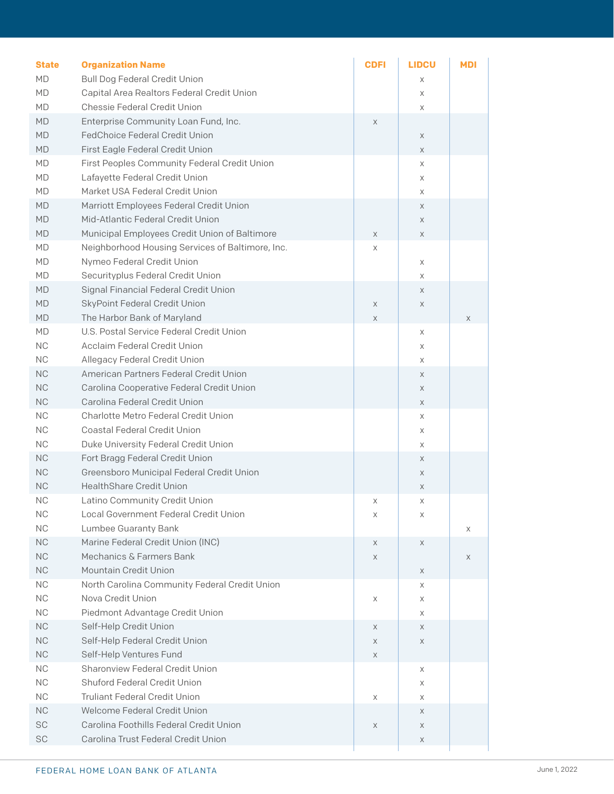| <b>State</b>           | <b>Organization Name</b>                                                   | <b>CDFI</b> | <b>LIDCU</b> | MDI |
|------------------------|----------------------------------------------------------------------------|-------------|--------------|-----|
| <b>MD</b>              | <b>Bull Dog Federal Credit Union</b>                                       |             | X            |     |
| MD                     | Capital Area Realtors Federal Credit Union<br>Chessie Federal Credit Union |             | X            |     |
| MD<br><b>MD</b>        | Enterprise Community Loan Fund, Inc.                                       | X           | X            |     |
| <b>MD</b>              | <b>FedChoice Federal Credit Union</b>                                      |             | X            |     |
| <b>MD</b>              | First Eagle Federal Credit Union                                           |             | $\times$     |     |
| MD                     | First Peoples Community Federal Credit Union                               |             | X            |     |
| MD                     | Lafayette Federal Credit Union                                             |             | X            |     |
| MD                     | Market USA Federal Credit Union                                            |             | X            |     |
| <b>MD</b>              | Marriott Employees Federal Credit Union                                    |             | X            |     |
| <b>MD</b>              | Mid-Atlantic Federal Credit Union                                          |             | X            |     |
| <b>MD</b>              | Municipal Employees Credit Union of Baltimore                              | X           | $\times$     |     |
| MD                     | Neighborhood Housing Services of Baltimore, Inc.                           | Χ           |              |     |
| MD                     | Nymeo Federal Credit Union                                                 |             | X            |     |
| MD                     | Securityplus Federal Credit Union                                          |             | X            |     |
| <b>MD</b>              | Signal Financial Federal Credit Union                                      |             | X            |     |
| <b>MD</b>              | SkyPoint Federal Credit Union                                              | Χ           | X            |     |
| <b>MD</b>              | The Harbor Bank of Maryland                                                | X           |              | X   |
| MD                     | U.S. Postal Service Federal Credit Union                                   |             | X            |     |
| <b>NC</b>              | <b>Acclaim Federal Credit Union</b>                                        |             | X            |     |
| <b>NC</b>              | Allegacy Federal Credit Union                                              |             | X            |     |
| <b>NC</b>              | American Partners Federal Credit Union                                     |             | X            |     |
| <b>NC</b>              | Carolina Cooperative Federal Credit Union                                  |             | X            |     |
| <b>NC</b>              | Carolina Federal Credit Union                                              |             | $\times$     |     |
| <b>NC</b>              | Charlotte Metro Federal Credit Union                                       |             | X            |     |
| <b>NC</b>              | <b>Coastal Federal Credit Union</b>                                        |             | X            |     |
| <b>NC</b>              | Duke University Federal Credit Union<br>Fort Bragg Federal Credit Union    |             | X            |     |
| <b>NC</b><br><b>NC</b> | Greensboro Municipal Federal Credit Union                                  |             | X            |     |
| <b>NC</b>              | <b>HealthShare Credit Union</b>                                            |             | X            |     |
| <b>NC</b>              | Latino Community Credit Union                                              | Χ           | X<br>X       |     |
| <b>NC</b>              | Local Government Federal Credit Union                                      | Χ           | X            |     |
| <b>NC</b>              | Lumbee Guaranty Bank                                                       |             |              | Χ   |
| <b>NC</b>              | Marine Federal Credit Union (INC)                                          | X           | X            |     |
| <b>NC</b>              | Mechanics & Farmers Bank                                                   | Χ           |              | X   |
| NC                     | Mountain Credit Union                                                      |             | X            |     |
| NC                     | North Carolina Community Federal Credit Union                              |             | Χ            |     |
| <b>NC</b>              | Nova Credit Union                                                          | Χ           | Χ            |     |
| <b>NC</b>              | Piedmont Advantage Credit Union                                            |             | X            |     |
| $\rm NC$               | Self-Help Credit Union                                                     | X           | X            |     |
| <b>NC</b>              | Self-Help Federal Credit Union                                             | Χ           | X            |     |
| NC                     | Self-Help Ventures Fund                                                    | X           |              |     |
| $NC$                   | Sharonview Federal Credit Union                                            |             | Χ            |     |
| <b>NC</b>              | <b>Shuford Federal Credit Union</b>                                        |             | Χ            |     |
| <b>NC</b>              | <b>Truliant Federal Credit Union</b>                                       | Χ           | X            |     |
| <b>NC</b>              | Welcome Federal Credit Union                                               |             | X            |     |
| SC                     | Carolina Foothills Federal Credit Union                                    | Χ           | X            |     |
| SC                     | Carolina Trust Federal Credit Union                                        |             | X            |     |